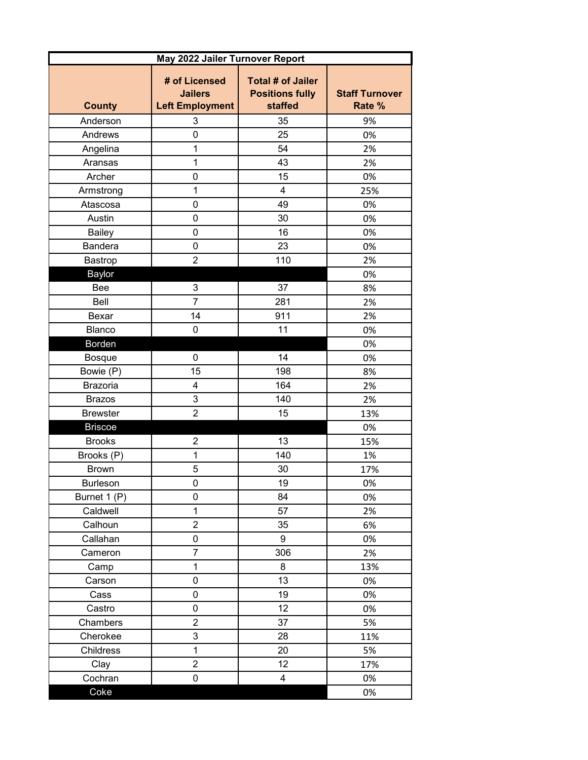| May 2022 Jailer Turnover Report |                                                           |                                                               |                                 |
|---------------------------------|-----------------------------------------------------------|---------------------------------------------------------------|---------------------------------|
| <b>County</b>                   | # of Licensed<br><b>Jailers</b><br><b>Left Employment</b> | <b>Total # of Jailer</b><br><b>Positions fully</b><br>staffed | <b>Staff Turnover</b><br>Rate % |
| Anderson                        | 3                                                         | 35                                                            | 9%                              |
| Andrews                         | $\mathbf 0$                                               | 25                                                            | 0%                              |
| Angelina                        | 1                                                         | 54                                                            | 2%                              |
| Aransas                         | 1                                                         | 43                                                            | 2%                              |
| Archer                          | $\mathbf 0$                                               | 15                                                            | 0%                              |
| Armstrong                       | $\mathbf 1$                                               | 4                                                             | 25%                             |
| Atascosa                        | $\mathbf 0$                                               | 49                                                            | 0%                              |
| Austin                          | 0                                                         | 30                                                            | 0%                              |
| <b>Bailey</b>                   | $\mathbf 0$                                               | 16                                                            | 0%                              |
| Bandera                         | 0                                                         | 23                                                            | 0%                              |
| Bastrop                         | $\overline{2}$                                            | 110                                                           | 2%                              |
| Baylor                          |                                                           |                                                               | 0%                              |
| Bee                             | 3                                                         | 37                                                            | 8%                              |
| Bell                            | $\overline{7}$                                            | 281                                                           | 2%                              |
| Bexar                           | 14                                                        | 911                                                           | 2%                              |
| Blanco                          | $\mathbf 0$                                               | 11                                                            | 0%                              |
| Borden                          |                                                           |                                                               | 0%                              |
| <b>Bosque</b>                   | $\mathbf 0$                                               | 14                                                            | 0%                              |
| Bowie (P)                       | 15                                                        | 198                                                           | 8%                              |
| <b>Brazoria</b>                 | 4                                                         | 164                                                           | 2%                              |
| <b>Brazos</b>                   | 3                                                         | 140                                                           | 2%                              |
| <b>Brewster</b>                 | $\overline{2}$                                            | 15                                                            | 13%                             |
| <b>Briscoe</b>                  |                                                           |                                                               | 0%                              |
| <b>Brooks</b>                   | $\overline{2}$                                            | 13                                                            | 15%                             |
| Brooks (P)                      | $\mathbf 1$                                               | 140                                                           | 1%                              |
| <b>Brown</b>                    | 5                                                         | 30                                                            | 17%                             |
| <b>Burleson</b>                 | 0                                                         | 19                                                            | 0%                              |
| Burnet 1 (P)                    | 0                                                         | 84                                                            | 0%                              |
| Caldwell                        | $\mathbf{1}$                                              | 57                                                            | 2%                              |
| Calhoun                         | $\overline{2}$                                            | 35                                                            | 6%                              |
| Callahan                        | 0                                                         | 9                                                             | 0%                              |
| Cameron                         | $\overline{7}$                                            | 306                                                           | 2%                              |
| Camp                            | $\mathbf 1$                                               | 8                                                             | 13%                             |
| Carson                          | $\pmb{0}$                                                 | 13                                                            | 0%                              |
| Cass                            | $\pmb{0}$                                                 | 19                                                            | 0%                              |
| Castro                          | $\mathbf 0$                                               | 12                                                            | 0%                              |
| Chambers                        | $\overline{c}$                                            | 37                                                            | 5%                              |
| Cherokee                        | 3                                                         | 28                                                            | 11%                             |
| Childress                       | $\mathbf{1}$                                              | 20                                                            | 5%                              |
| Clay                            | $\overline{c}$                                            | 12                                                            | 17%                             |
| Cochran                         | $\mathsf 0$                                               | 4                                                             | 0%                              |
| Coke                            |                                                           |                                                               | 0%                              |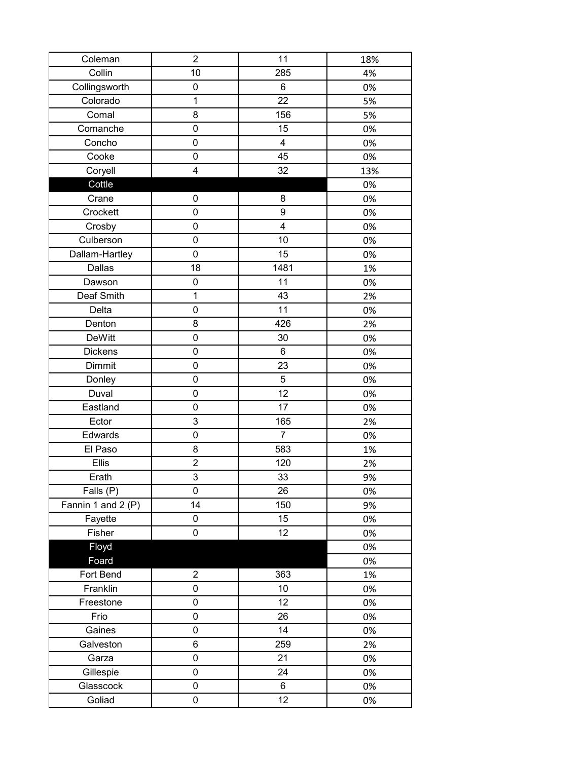| Coleman            | $\overline{2}$          | 11                      | 18% |
|--------------------|-------------------------|-------------------------|-----|
| Collin             | 10                      | 285                     | 4%  |
| Collingsworth      | 0                       | 6                       | 0%  |
| Colorado           | $\mathbf{1}$            | 22                      | 5%  |
| Comal              | 8                       | 156                     | 5%  |
| Comanche           | 0                       | 15                      | 0%  |
| Concho             | 0                       | $\overline{\mathbf{4}}$ | 0%  |
| Cooke              | 0                       | 45                      | 0%  |
| Coryell            | $\overline{\mathbf{4}}$ | 32                      | 13% |
| Cottle             |                         |                         | 0%  |
| Crane              | 0                       | 8                       | 0%  |
| Crockett           | 0                       | 9                       | 0%  |
| Crosby             | 0                       | 4                       | 0%  |
| Culberson          | 0                       | 10                      | 0%  |
| Dallam-Hartley     | 0                       | 15                      | 0%  |
| Dallas             | 18                      | 1481                    | 1%  |
| Dawson             | 0                       | 11                      | 0%  |
| Deaf Smith         | $\mathbf 1$             | 43                      | 2%  |
| Delta              | $\mathsf 0$             | 11                      | 0%  |
| Denton             | 8                       | 426                     | 2%  |
| <b>DeWitt</b>      | 0                       | 30                      | 0%  |
| <b>Dickens</b>     | 0                       | 6                       | 0%  |
| Dimmit             | 0                       | 23                      | 0%  |
| Donley             | 0                       | 5                       | 0%  |
| Duval              | 0                       | 12                      | 0%  |
| Eastland           | 0                       | 17                      | 0%  |
| Ector              | 3                       | 165                     | 2%  |
| Edwards            | $\mathbf 0$             | $\overline{7}$          | 0%  |
| El Paso            | 8                       | 583                     | 1%  |
| Ellis              | $\overline{c}$          | 120                     | 2%  |
| Erath              | $\overline{3}$          | 33                      | 9%  |
| Falls (P)          | 0                       | 26                      | 0%  |
| Fannin 1 and 2 (P) | 14                      | 150                     | 9%  |
| Fayette            | 0                       | 15                      | 0%  |
| Fisher             | 0                       | 12                      | 0%  |
| Floyd              |                         |                         | 0%  |
| Foard              |                         |                         | 0%  |
| Fort Bend          | $\overline{c}$          | 363                     | 1%  |
| Franklin           | 0                       | 10                      | 0%  |
| Freestone          | 0                       | 12                      | 0%  |
| Frio               | 0                       | 26                      | 0%  |
| Gaines             | 0                       | 14                      | 0%  |
| Galveston          | 6                       | 259                     | 2%  |
| Garza              | 0                       | 21                      | 0%  |
| Gillespie          | 0                       | 24                      | 0%  |
| Glasscock          | 0                       | 6                       | 0%  |
| Goliad             | 0                       | 12                      | 0%  |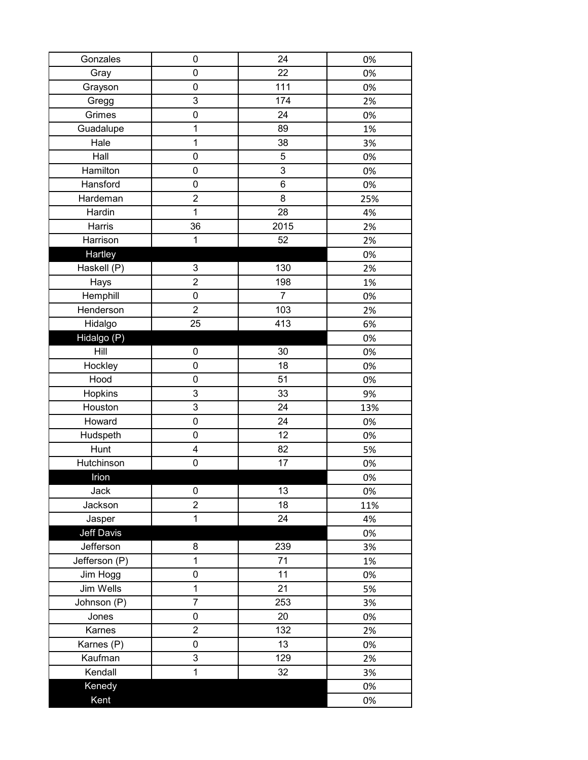| Gonzales          | 0                   | 24             | 0%  |
|-------------------|---------------------|----------------|-----|
| Gray              | 0                   | 22             | 0%  |
| Grayson           | $\mathsf{O}\xspace$ | 111            | 0%  |
| Gregg             | 3                   | 174            | 2%  |
| Grimes            | $\mathbf 0$         | 24             | 0%  |
| Guadalupe         | $\mathbf{1}$        | 89             | 1%  |
| Hale              | 1                   | 38             | 3%  |
| Hall              | $\mathsf{O}\xspace$ | 5              | 0%  |
| Hamilton          | $\mathbf 0$         | 3              | 0%  |
| Hansford          | $\mathsf 0$         | 6              | 0%  |
| Hardeman          | $\overline{2}$      | 8              | 25% |
| Hardin            | $\mathbf{1}$        | 28             | 4%  |
| Harris            | 36                  | 2015           | 2%  |
| Harrison          | 1                   | 52             | 2%  |
| Hartley           |                     |                | 0%  |
| Haskell (P)       | 3                   | 130            | 2%  |
| Hays              | $\overline{c}$      | 198            | 1%  |
| Hemphill          | $\mathsf 0$         | $\overline{7}$ | 0%  |
| Henderson         | $\overline{2}$      | 103            | 2%  |
| Hidalgo           | 25                  | 413            | 6%  |
| Hidalgo (P)       |                     |                | 0%  |
| Hill              | 0                   | 30             | 0%  |
| Hockley           | 0                   | 18             | 0%  |
| Hood              | $\mathsf 0$         | 51             | 0%  |
| Hopkins           | 3                   | 33             | 9%  |
| Houston           | 3                   | 24             | 13% |
| Howard            | $\pmb{0}$           | 24             | 0%  |
| Hudspeth          | $\mathbf 0$         | 12             | 0%  |
| Hunt              | 4                   | 82             | 5%  |
| Hutchinson        | $\mathbf 0$         | 17             | 0%  |
| Irion             |                     |                | 0%  |
| Jack              | 0                   | 13             | 0%  |
| Jackson           | $\overline{2}$      | 18             | 11% |
| Jasper            | $\mathbf{1}$        | 24             | 4%  |
| <b>Jeff Davis</b> |                     |                | 0%  |
| Jefferson         | 8                   | 239            | 3%  |
| Jefferson (P)     | $\mathbf 1$         | 71             | 1%  |
| Jim Hogg          | 0                   | 11             | 0%  |
| Jim Wells         | $\mathbf{1}$        | 21             | 5%  |
| Johnson (P)       | $\overline{7}$      | 253            | 3%  |
| Jones             | $\mathbf 0$         | 20             | 0%  |
| Karnes            | $\overline{2}$      | 132            | 2%  |
| Karnes (P)        | 0                   | 13             | 0%  |
| Kaufman           | 3                   | 129            | 2%  |
| Kendall           | 1                   | 32             | 3%  |
| Kenedy            |                     |                | 0%  |
| Kent              |                     |                | 0%  |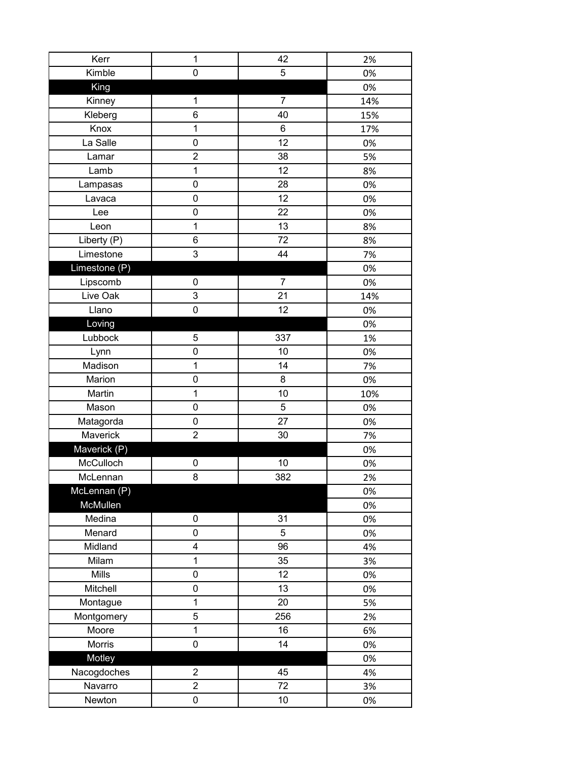| Kerr          | $\mathbf 1$         | 42             | 2%  |
|---------------|---------------------|----------------|-----|
| Kimble        | 0                   | 5              | 0%  |
| King          |                     |                | 0%  |
| Kinney        | $\mathbf{1}$        | $\overline{7}$ | 14% |
| Kleberg       | 6                   | 40             | 15% |
| Knox          | $\mathbf 1$         | 6              | 17% |
| La Salle      | 0                   | 12             | 0%  |
| Lamar         | $\overline{c}$      | 38             | 5%  |
| Lamb          | $\mathbf{1}$        | 12             | 8%  |
| Lampasas      | $\mathbf 0$         | 28             | 0%  |
| Lavaca        | 0                   | 12             | 0%  |
| Lee           | 0                   | 22             | 0%  |
| Leon          | $\mathbf 1$         | 13             | 8%  |
| Liberty (P)   | 6                   | 72             | 8%  |
| Limestone     | 3                   | 44             | 7%  |
| Limestone (P) |                     |                | 0%  |
| Lipscomb      | 0                   | $\overline{7}$ | 0%  |
| Live Oak      | 3                   | 21             | 14% |
| Llano         | $\mathbf 0$         | 12             | 0%  |
| Loving        |                     |                | 0%  |
| Lubbock       | 5                   | 337            | 1%  |
| Lynn          | 0                   | 10             | 0%  |
| Madison       | $\mathbf{1}$        | 14             | 7%  |
| Marion        | $\mathbf 0$         | 8              | 0%  |
| Martin        | $\mathbf 1$         | 10             | 10% |
| Mason         | 0                   | 5              | 0%  |
| Matagorda     | $\mathsf{O}\xspace$ | 27             | 0%  |
| Maverick      | $\overline{2}$      | 30             | 7%  |
| Maverick (P)  |                     |                | 0%  |
| McCulloch     | 0                   | 10             | 0%  |
| McLennan      | 8                   | 382            | 2%  |
| McLennan (P)  |                     |                | 0%  |
| McMullen      |                     |                | 0%  |
| Medina        | 0                   | 31             | 0%  |
| Menard        | 0                   | 5              | 0%  |
| Midland       | 4                   | 96             | 4%  |
| Milam         | $\mathbf 1$         | 35             | 3%  |
| Mills         | 0                   | 12             | 0%  |
| Mitchell      | $\mathsf{O}\xspace$ | 13             | 0%  |
| Montague      | $\mathbf{1}$        | 20             | 5%  |
| Montgomery    | 5                   | 256            | 2%  |
| Moore         | $\mathbf 1$         | 16             | 6%  |
| Morris        | $\mathsf 0$         | 14             | 0%  |
| Motley        |                     |                | 0%  |
| Nacogdoches   | $\overline{2}$      | 45             | 4%  |
| Navarro       | $\overline{c}$      | 72             | 3%  |
| Newton        | 0                   | 10             | 0%  |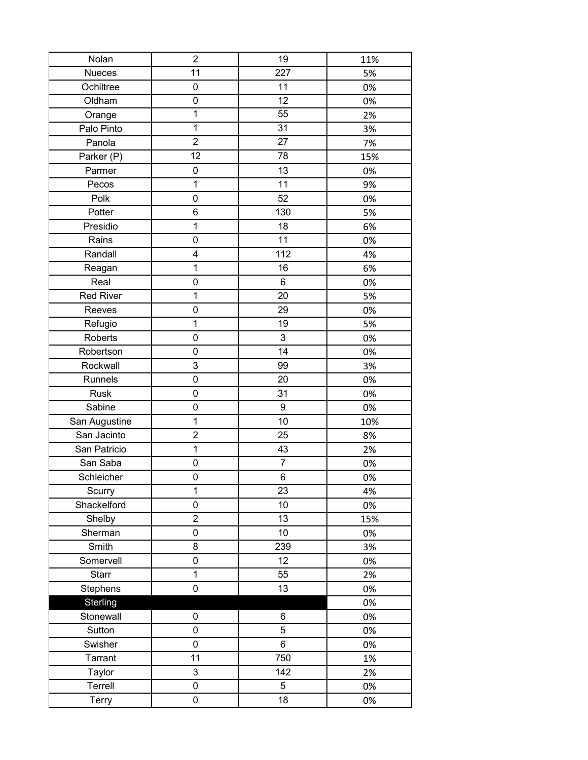| Nolan            | $\overline{c}$          | 19             | 11% |
|------------------|-------------------------|----------------|-----|
| <b>Nueces</b>    | 11                      | 227            | 5%  |
| Ochiltree        | 0                       | 11             | 0%  |
| Oldham           | 0                       | 12             | 0%  |
| Orange           | 1                       | 55             | 2%  |
| Palo Pinto       | $\overline{1}$          | 31             | 3%  |
| Panola           | $\overline{2}$          | 27             | 7%  |
| Parker (P)       | 12                      | 78             | 15% |
| Parmer           | $\pmb{0}$               | 13             | 0%  |
| Pecos            | $\mathbf 1$             | 11             | 9%  |
| Polk             | $\pmb{0}$               | 52             | 0%  |
| Potter           | 6                       | 130            | 5%  |
| Presidio         | $\mathbf 1$             | 18             | 6%  |
| Rains            | 0                       | 11             | 0%  |
| Randall          | 4                       | 112            | 4%  |
| Reagan           | $\mathbf{1}$            | 16             | 6%  |
| Real             | $\mathsf 0$             | $\,6$          | 0%  |
| <b>Red River</b> | $\mathbf 1$             | 20             | 5%  |
| Reeves           | $\mathbf 0$             | 29             | 0%  |
| Refugio          | $\mathbf{1}$            | 19             | 5%  |
| Roberts          | 0                       | 3              | 0%  |
| Robertson        | $\pmb{0}$               | 14             | 0%  |
| Rockwall         | 3                       | 99             | 3%  |
| Runnels          | $\mathsf 0$             | 20             | 0%  |
| <b>Rusk</b>      | 0                       | 31             | 0%  |
| Sabine           | 0                       | 9              | 0%  |
| San Augustine    | 1                       | 10             | 10% |
| San Jacinto      | $\overline{2}$          | 25             | 8%  |
| San Patricio     | $\mathbf 1$             | 43             | 2%  |
| San Saba         | 0                       | $\overline{7}$ | 0%  |
| Schleicher       | $\mathbf 0$             | 6              | 0%  |
| Scurry           | 1                       | 23             | 4%  |
| Shackelford      | $\mathsf 0$             | 10             | 0%  |
| Shelby           | $\overline{\mathbf{c}}$ | 13             | 15% |
| Sherman          | 0                       | 10             | 0%  |
| Smith            | 8                       | 239            | 3%  |
| Somervell        | 0                       | 12             | 0%  |
| <b>Starr</b>     | $\mathbf{1}$            | 55             | 2%  |
| Stephens         | $\pmb{0}$               | 13             | 0%  |
| Sterling         |                         |                | 0%  |
| Stonewall        | 0                       | 6              | 0%  |
| Sutton           | 0                       | 5              | 0%  |
| Swisher          | 0                       | 6              | 0%  |
| Tarrant          | 11                      | 750            | 1%  |
| Taylor           | 3                       | 142            | 2%  |
| Terrell          | 0                       | 5              | 0%  |
| Terry            | $\pmb{0}$               | 18             | 0%  |